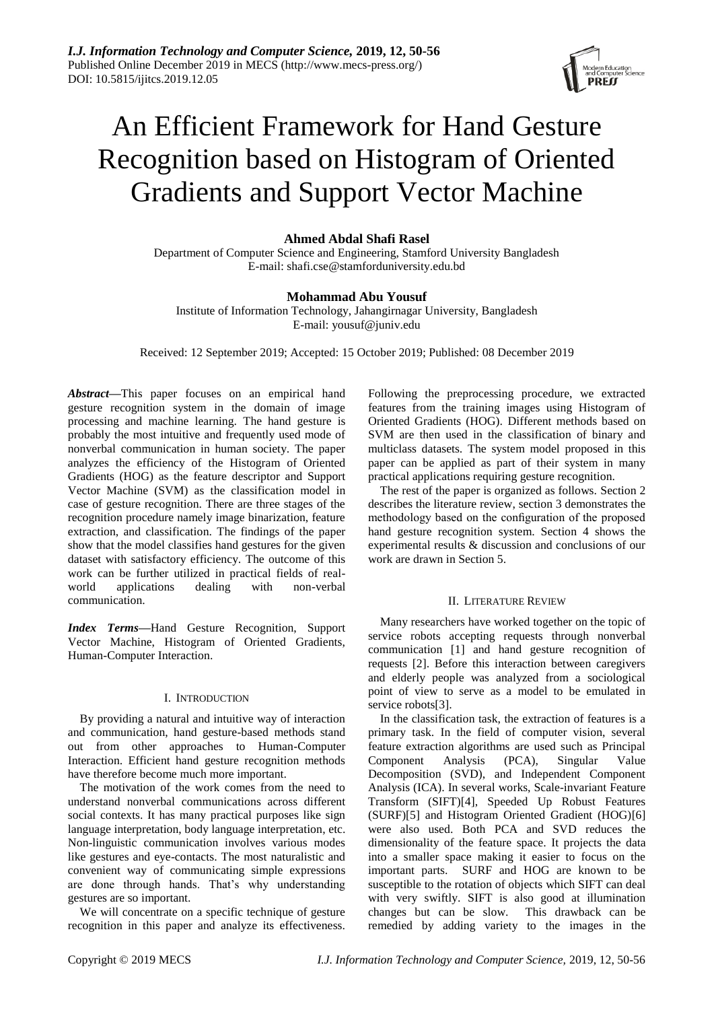

# An Efficient Framework for Hand Gesture Recognition based on Histogram of Oriented Gradients and Support Vector Machine

# **Ahmed Abdal Shafi Rasel**

Department of Computer Science and Engineering, Stamford University Bangladesh E-mail: shafi.cse@stamforduniversity.edu.bd

## **Mohammad Abu Yousuf**

Institute of Information Technology, Jahangirnagar University, Bangladesh E-mail: [yousuf@juniv.edu](mailto:yousuf@juniv.edu)

Received: 12 September 2019; Accepted: 15 October 2019; Published: 08 December 2019

*Abstract—*This paper focuses on an empirical hand gesture recognition system in the domain of image processing and machine learning. The hand gesture is probably the most intuitive and frequently used mode of nonverbal communication in human society. The paper analyzes the efficiency of the Histogram of Oriented Gradients (HOG) as the feature descriptor and Support Vector Machine (SVM) as the classification model in case of gesture recognition. There are three stages of the recognition procedure namely image binarization, feature extraction, and classification. The findings of the paper show that the model classifies hand gestures for the given dataset with satisfactory efficiency. The outcome of this work can be further utilized in practical fields of realworld applications dealing with non-verbal communication.

*Index Terms—*Hand Gesture Recognition, Support Vector Machine, Histogram of Oriented Gradients, Human-Computer Interaction.

## I. INTRODUCTION

By providing a natural and intuitive way of interaction and communication, hand gesture-based methods stand out from other approaches to Human-Computer Interaction. Efficient hand gesture recognition methods have therefore become much more important.

The motivation of the work comes from the need to understand nonverbal communications across different social contexts. It has many practical purposes like sign language interpretation, body language interpretation, etc. Non-linguistic communication involves various modes like gestures and eye-contacts. The most naturalistic and convenient way of communicating simple expressions are done through hands. That's why understanding gestures are so important.

We will concentrate on a specific technique of gesture recognition in this paper and analyze its effectiveness.

Following the preprocessing procedure, we extracted features from the training images using Histogram of Oriented Gradients (HOG). Different methods based on SVM are then used in the classification of binary and multiclass datasets. The system model proposed in this paper can be applied as part of their system in many practical applications requiring gesture recognition.

The rest of the paper is organized as follows. Section 2 describes the literature review, section 3 demonstrates the methodology based on the configuration of the proposed hand gesture recognition system. Section 4 shows the experimental results & discussion and conclusions of our work are drawn in Section 5.

## II. LITERATURE REVIEW

Many researchers have worked together on the topic of service robots accepting requests through nonverbal communication [1] and hand gesture recognition of requests [2]. Before this interaction between caregivers and elderly people was analyzed from a sociological point of view to serve as a model to be emulated in service robots[3].

In the classification task, the extraction of features is a primary task. In the field of computer vision, several feature extraction algorithms are used such as Principal Component Analysis (PCA), Singular Value Decomposition (SVD), and Independent Component Analysis (ICA). In several works, Scale-invariant Feature Transform (SIFT)[4], Speeded Up Robust Features (SURF)[5] and Histogram Oriented Gradient (HOG)[6] were also used. Both PCA and SVD reduces the dimensionality of the feature space. It projects the data into a smaller space making it easier to focus on the important parts. SURF and HOG are known to be susceptible to the rotation of objects which SIFT can deal with very swiftly. SIFT is also good at illumination changes but can be slow. This drawback can be remedied by adding variety to the images in the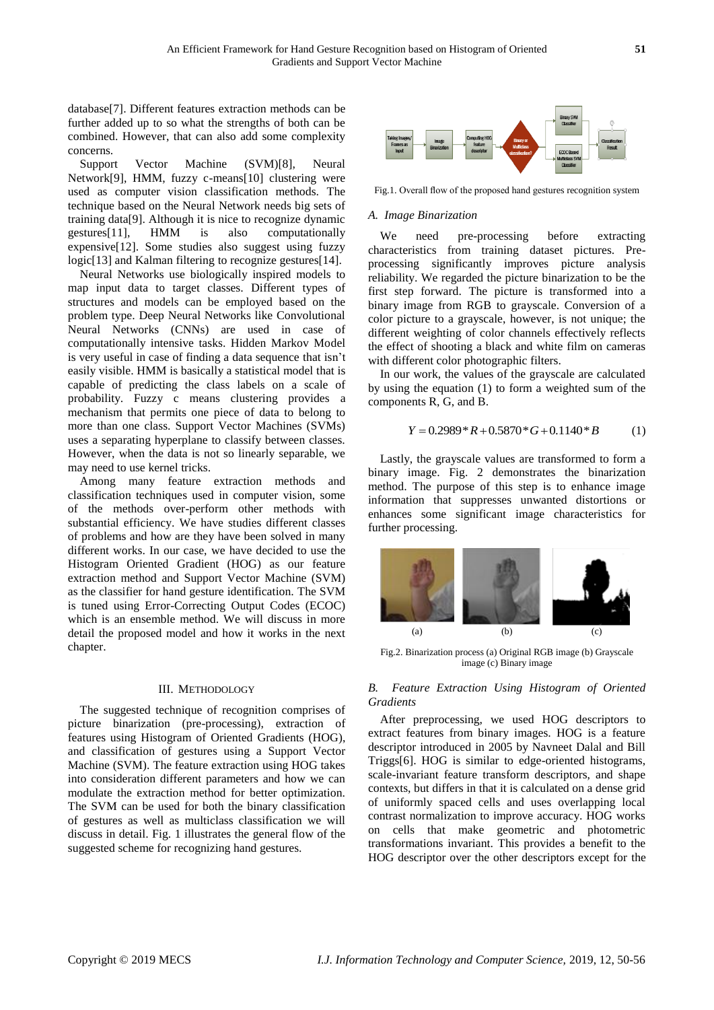database[7]. Different features extraction methods can be further added up to so what the strengths of both can be combined. However, that can also add some complexity concerns.

Support Vector Machine (SVM)[8], Neural Network[9], HMM, fuzzy c-means[10] clustering were used as computer vision classification methods. The technique based on the Neural Network needs big sets of training data[9]. Although it is nice to recognize dynamic gestures[11], HMM is also computationally expensive[12]. Some studies also suggest using fuzzy logic<sup>[13]</sup> and Kalman filtering to recognize gestures<sup>[14]</sup>.

Neural Networks use biologically inspired models to map input data to target classes. Different types of structures and models can be employed based on the problem type. Deep Neural Networks like Convolutional Neural Networks (CNNs) are used in case of computationally intensive tasks. Hidden Markov Model is very useful in case of finding a data sequence that isn't easily visible. HMM is basically a statistical model that is capable of predicting the class labels on a scale of probability. Fuzzy c means clustering provides a mechanism that permits one piece of data to belong to more than one class. Support Vector Machines (SVMs) uses a separating hyperplane to classify between classes. However, when the data is not so linearly separable, we may need to use kernel tricks.

Among many feature extraction methods and classification techniques used in computer vision, some of the methods over-perform other methods with substantial efficiency. We have studies different classes of problems and how are they have been solved in many different works. In our case, we have decided to use the Histogram Oriented Gradient (HOG) as our feature extraction method and Support Vector Machine (SVM) as the classifier for hand gesture identification. The SVM is tuned using Error-Correcting Output Codes (ECOC) which is an ensemble method. We will discuss in more detail the proposed model and how it works in the next chapter.

#### III. METHODOLOGY

The suggested technique of recognition comprises of picture binarization (pre-processing), extraction of features using Histogram of Oriented Gradients (HOG), and classification of gestures using a Support Vector Machine (SVM). The feature extraction using HOG takes into consideration different parameters and how we can modulate the extraction method for better optimization. The SVM can be used for both the binary classification of gestures as well as multiclass classification we will discuss in detail. Fig. 1 illustrates the general flow of the suggested scheme for recognizing hand gestures.



Fig.1. Overall flow of the proposed hand gestures recognition system

#### *A. Image Binarization*

We need pre-processing before extracting characteristics from training dataset pictures. Preprocessing significantly improves picture analysis reliability. We regarded the picture binarization to be the first step forward. The picture is transformed into a binary image from RGB to grayscale. Conversion of a color picture to a grayscale, however, is not unique; the different weighting of color channels effectively reflects the effect of shooting a black and white film on cameras with different color photographic filters.

In our work, the values of the grayscale are calculated by using the equation (1) to form a weighted sum of the components R, G, and B.

$$
Y = 0.2989 * R + 0.5870 * G + 0.1140 * B \tag{1}
$$

Lastly, the grayscale values are transformed to form a binary image. Fig. 2 demonstrates the binarization method. The purpose of this step is to enhance image information that suppresses unwanted distortions or enhances some significant image characteristics for further processing.



Fig.2. Binarization process (a) Original RGB image (b) Grayscale image (c) Binary image

## *B. Feature Extraction Using Histogram of Oriented Gradients*

After preprocessing, we used HOG descriptors to extract features from binary images. HOG is a feature descriptor introduced in 2005 by Navneet Dalal and Bill Triggs[6]. HOG is similar to edge-oriented histograms, scale-invariant feature transform descriptors, and shape contexts, but differs in that it is calculated on a dense grid of uniformly spaced cells and uses overlapping local contrast normalization to improve accuracy. HOG works on cells that make geometric and photometric transformations invariant. This provides a benefit to the HOG descriptor over the other descriptors except for the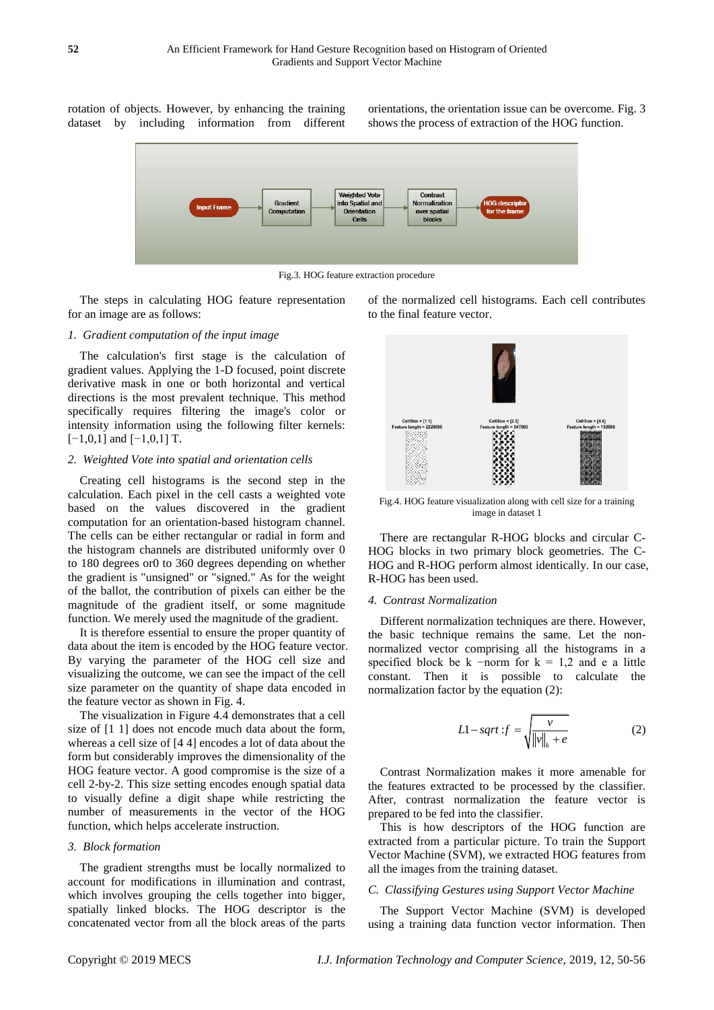rotation of objects. However, by enhancing the training dataset by including information from different

orientations, the orientation issue can be overcome. Fig. 3 shows the process of extraction of the HOG function.



Fig.3. HOG feature extraction procedure

The steps in calculating HOG feature representation for an image are as follows:

#### *1. Gradient computation of the input image*

The calculation's first stage is the calculation of gradient values. Applying the 1-D focused, point discrete derivative mask in one or both horizontal and vertical directions is the most prevalent technique. This method specifically requires filtering the image's color or intensity information using the following filter kernels:  $[-1,0,1]$  and  $[-1,0,1]$  T.

#### *2. Weighted Vote into spatial and orientation cells*

Creating cell histograms is the second step in the calculation. Each pixel in the cell casts a weighted vote based on the values discovered in the gradient computation for an orientation-based histogram channel. The cells can be either rectangular or radial in form and the histogram channels are distributed uniformly over 0 to 180 degrees or0 to 360 degrees depending on whether the gradient is "unsigned" or "signed." As for the weight of the ballot, the contribution of pixels can either be the magnitude of the gradient itself, or some magnitude function. We merely used the magnitude of the gradient.

It is therefore essential to ensure the proper quantity of data about the item is encoded by the HOG feature vector. By varying the parameter of the HOG cell size and visualizing the outcome, we can see the impact of the cell size parameter on the quantity of shape data encoded in the feature vector as shown in Fig. 4.

The visualization in Figure 4.4 demonstrates that a cell size of  $[1\ 1]$  does not encode much data about the form, whereas a cell size of [4 4] encodes a lot of data about the form but considerably improves the dimensionality of the HOG feature vector. A good compromise is the size of a cell 2-by-2. This size setting encodes enough spatial data to visually define a digit shape while restricting the number of measurements in the vector of the HOG function, which helps accelerate instruction.

#### *3. Block formation*

The gradient strengths must be locally normalized to account for modifications in illumination and contrast, which involves grouping the cells together into bigger, spatially linked blocks. The HOG descriptor is the concatenated vector from all the block areas of the parts of the normalized cell histograms. Each cell contributes to the final feature vector.



Fig.4. HOG feature visualization along with cell size for a training image in dataset 1

There are rectangular R-HOG blocks and circular C-HOG blocks in two primary block geometries. The C-HOG and R-HOG perform almost identically. In our case, R-HOG has been used.

#### *4. Contrast Normalization*

Different normalization techniques are there. However, the basic technique remains the same. Let the nonnormalized vector comprising all the histograms in a specified block be k  $\neg$ -norm for k = 1,2 and e a little constant. Then it is possible to calculate the normalization factor by the equation (2):

$$
L1-sqrt: f = \sqrt{\frac{v}{\|v\|_{k} + e}}
$$
 (2)

Contrast Normalization makes it more amenable for the features extracted to be processed by the classifier. After, contrast normalization the feature vector is prepared to be fed into the classifier.

This is how descriptors of the HOG function are extracted from a particular picture. To train the Support Vector Machine (SVM), we extracted HOG features from all the images from the training dataset.

#### *C. Classifying Gestures using Support Vector Machine*

The Support Vector Machine (SVM) is developed using a training data function vector information. Then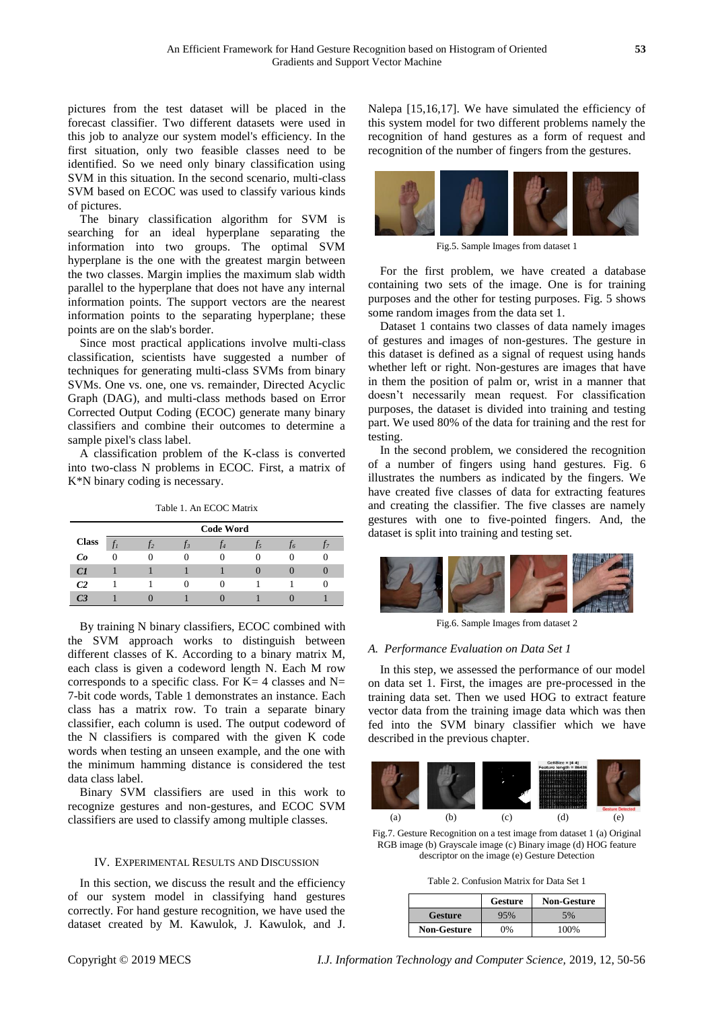pictures from the test dataset will be placed in the forecast classifier. Two different datasets were used in this job to analyze our system model's efficiency. In the first situation, only two feasible classes need to be identified. So we need only binary classification using SVM in this situation. In the second scenario, multi-class SVM based on ECOC was used to classify various kinds of pictures.

The binary classification algorithm for SVM is searching for an ideal hyperplane separating the information into two groups. The optimal SVM hyperplane is the one with the greatest margin between the two classes. Margin implies the maximum slab width parallel to the hyperplane that does not have any internal information points. The support vectors are the nearest information points to the separating hyperplane; these points are on the slab's border.

Since most practical applications involve multi-class classification, scientists have suggested a number of techniques for generating multi-class SVMs from binary SVMs. One vs. one, one vs. remainder, Directed Acyclic Graph (DAG), and multi-class methods based on Error Corrected Output Coding (ECOC) generate many binary classifiers and combine their outcomes to determine a sample pixel's class label.

A classification problem of the K-class is converted into two-class N problems in ECOC. First, a matrix of K\*N binary coding is necessary.

Table 1. An ECOC Matrix

|              | <b>Code Word</b> |          |  |  |  |              |  |
|--------------|------------------|----------|--|--|--|--------------|--|
| <b>Class</b> |                  |          |  |  |  | .16          |  |
| Co           | $\Omega$         | $\Omega$ |  |  |  | $\mathbf{I}$ |  |
| C1           |                  |          |  |  |  | u            |  |
| C2           |                  |          |  |  |  |              |  |
| С3           |                  |          |  |  |  |              |  |

By training N binary classifiers, ECOC combined with the SVM approach works to distinguish between different classes of K. According to a binary matrix M, each class is given a codeword length N. Each M row corresponds to a specific class. For  $K=4$  classes and  $N=$ 7-bit code words, Table 1 demonstrates an instance. Each class has a matrix row. To train a separate binary classifier, each column is used. The output codeword of the N classifiers is compared with the given K code words when testing an unseen example, and the one with the minimum hamming distance is considered the test data class label.

Binary SVM classifiers are used in this work to recognize gestures and non-gestures, and ECOC SVM classifiers are used to classify among multiple classes.

## IV. EXPERIMENTAL RESULTS AND DISCUSSION

In this section, we discuss the result and the efficiency of our system model in classifying hand gestures correctly. For hand gesture recognition, we have used the dataset created by M. Kawulok, J. Kawulok, and J. Nalepa [15,16,17]. We have simulated the efficiency of this system model for two different problems namely the recognition of hand gestures as a form of request and recognition of the number of fingers from the gestures.



Fig.5. Sample Images from dataset 1

For the first problem, we have created a database containing two sets of the image. One is for training purposes and the other for testing purposes. Fig. 5 shows some random images from the data set 1.

Dataset 1 contains two classes of data namely images of gestures and images of non-gestures. The gesture in this dataset is defined as a signal of request using hands whether left or right. Non-gestures are images that have in them the position of palm or, wrist in a manner that doesn't necessarily mean request. For classification purposes, the dataset is divided into training and testing part. We used 80% of the data for training and the rest for testing.

In the second problem, we considered the recognition of a number of fingers using hand gestures. Fig. 6 illustrates the numbers as indicated by the fingers. We have created five classes of data for extracting features and creating the classifier. The five classes are namely gestures with one to five-pointed fingers. And, the dataset is split into training and testing set.



Fig.6. Sample Images from dataset 2

## *A. Performance Evaluation on Data Set 1*

In this step, we assessed the performance of our model on data set 1. First, the images are pre-processed in the training data set. Then we used HOG to extract feature vector data from the training image data which was then fed into the SVM binary classifier which we have described in the previous chapter.



Fig.7. Gesture Recognition on a test image from dataset 1 (a) Original RGB image (b) Grayscale image (c) Binary image (d) HOG feature descriptor on the image (e) Gesture Detection

Table 2. Confusion Matrix for Data Set 1

|                    | <b>Gesture</b> | <b>Non-Gesture</b> |  |
|--------------------|----------------|--------------------|--|
| <b>Gesture</b>     | 95%            | 5%                 |  |
| <b>Non-Gesture</b> | $0\%$          | 100%               |  |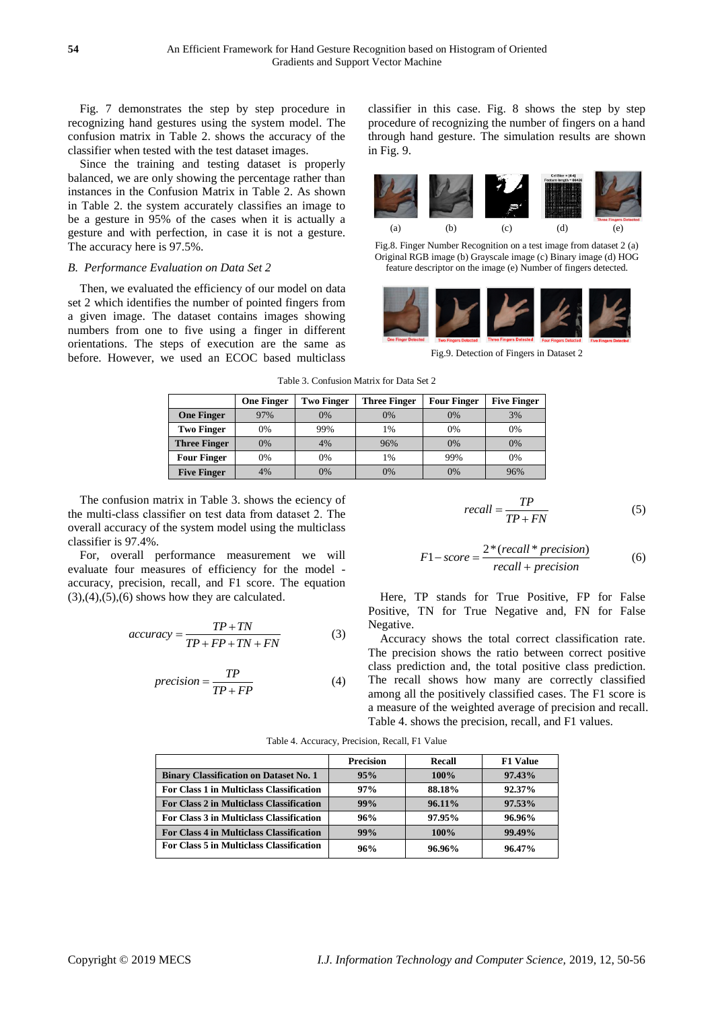Fig. 7 demonstrates the step by step procedure in recognizing hand gestures using the system model. The confusion matrix in Table 2. shows the accuracy of the classifier when tested with the test dataset images.

Since the training and testing dataset is properly balanced, we are only showing the percentage rather than instances in the Confusion Matrix in Table 2. As shown in Table 2. the system accurately classifies an image to be a gesture in 95% of the cases when it is actually a gesture and with perfection, in case it is not a gesture. The accuracy here is 97.5%.

## *B. Performance Evaluation on Data Set 2*

Then, we evaluated the efficiency of our model on data set 2 which identifies the number of pointed fingers from a given image. The dataset contains images showing numbers from one to five using a finger in different orientations. The steps of execution are the same as before. However, we used an ECOC based multiclass classifier in this case. Fig. 8 shows the step by step procedure of recognizing the number of fingers on a hand through hand gesture. The simulation results are shown in Fig. 9.



Fig.8. Finger Number Recognition on a test image from dataset 2 (a) Original RGB image (b) Grayscale image (c) Binary image (d) HOG feature descriptor on the image (e) Number of fingers detected.



Fig.9. Detection of Fingers in Dataset 2

|                     | <b>One Finger</b> | <b>Two Finger</b> | <b>Three Finger</b> | <b>Four Finger</b> | <b>Five Finger</b> |
|---------------------|-------------------|-------------------|---------------------|--------------------|--------------------|
| <b>One Finger</b>   | 97%               | 0%                | 0%                  | 0%                 | 3%                 |
| <b>Two Finger</b>   | 0%                | 99%               | 1%                  | 0%                 | 0%                 |
| <b>Three Finger</b> | 0%                | 4%                | 96%                 | 0%                 | 0%                 |
| <b>Four Finger</b>  | 0%                | 0%                | 1%                  | 99%                | 0%                 |
| <b>Five Finger</b>  | 4%                | 0%                | 0%                  | 0%                 | 96%                |

Table 3. Confusion Matrix for Data Set 2

The confusion matrix in Table 3. shows the eciency of the multi-class classifier on test data from dataset 2. The overall accuracy of the system model using the multiclass classifier is 97.4%.

For, overall performance measurement we will evaluate four measures of efficiency for the model accuracy, precision, recall, and F1 score. The equation  $(3),(4),(5),(6)$  shows how they are calculated.

$$
accuracy = \frac{TP + TN}{TP + FP + TN + FN}
$$
 (3)

$$
precision = \frac{TP}{TP + FP}
$$
 (4)

$$
recall = \frac{TP}{TP + FN} \tag{5}
$$

$$
F1-score = \frac{2*(recall * precision)}{recall + precision}
$$
 (6)

Here, TP stands for True Positive, FP for False Positive, TN for True Negative and, FN for False Negative.

Accuracy shows the total correct classification rate. The precision shows the ratio between correct positive class prediction and, the total positive class prediction. The recall shows how many are correctly classified among all the positively classified cases. The F1 score is a measure of the weighted average of precision and recall. Table 4. shows the precision, recall, and F1 values.

|                                                 | <b>Precision</b> | Recall    | <b>F1 Value</b> |
|-------------------------------------------------|------------------|-----------|-----------------|
| <b>Binary Classification on Dataset No. 1</b>   | 95%              | $100\%$   | $97.43\%$       |
| For Class 1 in Multiclass Classification        | $97\%$           | 88.18%    | $92.37\%$       |
| For Class 2 in Multiclass Classification        | 99%              | 96.11%    | 97.53%          |
| For Class 3 in Multiclass Classification        | 96%              | 97.95%    | 96.96%          |
| <b>For Class 4 in Multiclass Classification</b> | 99%              | $100\%$   | 99.49%          |
| For Class 5 in Multiclass Classification        | 96%              | $96.96\%$ | $96.47\%$       |

Table 4. Accuracy, Precision, Recall, F1 Value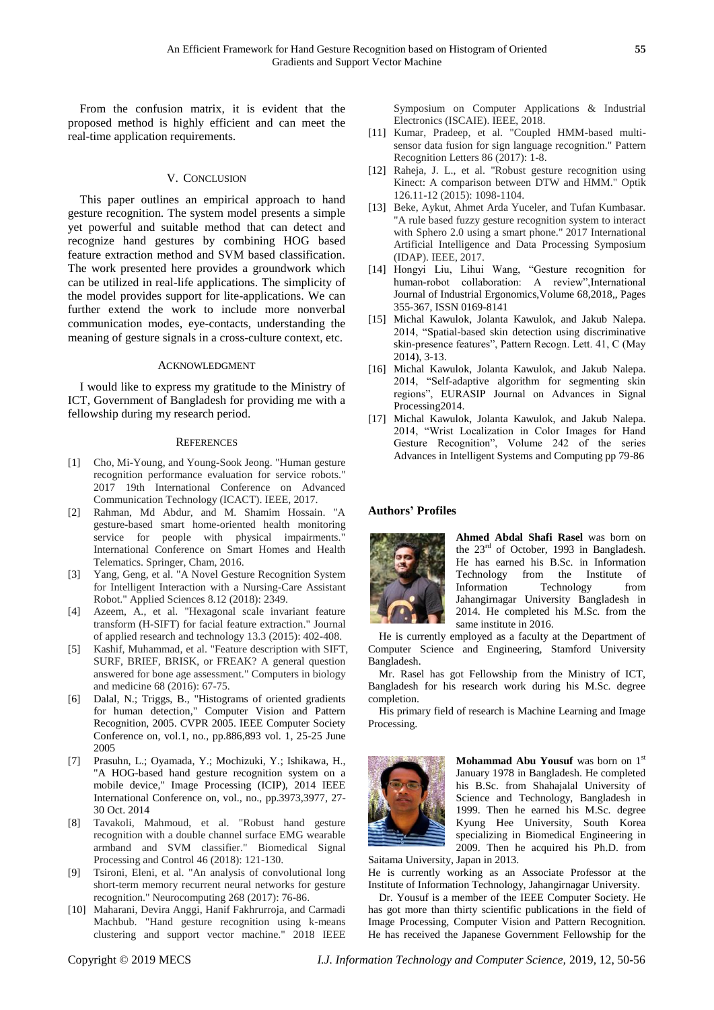From the confusion matrix, it is evident that the proposed method is highly efficient and can meet the real-time application requirements.

## V. CONCLUSION

This paper outlines an empirical approach to hand gesture recognition. The system model presents a simple yet powerful and suitable method that can detect and recognize hand gestures by combining HOG based feature extraction method and SVM based classification. The work presented here provides a groundwork which can be utilized in real-life applications. The simplicity of the model provides support for lite-applications. We can further extend the work to include more nonverbal communication modes, eye-contacts, understanding the meaning of gesture signals in a cross-culture context, etc.

#### ACKNOWLEDGMENT

I would like to express my gratitude to the Ministry of ICT, Government of Bangladesh for providing me with a fellowship during my research period.

#### **REFERENCES**

- [1] Cho, Mi-Young, and Young-Sook Jeong. "Human gesture recognition performance evaluation for service robots." 2017 19th International Conference on Advanced Communication Technology (ICACT). IEEE, 2017.
- [2] Rahman, Md Abdur, and M. Shamim Hossain. "A gesture-based smart home-oriented health monitoring service for people with physical impairments." International Conference on Smart Homes and Health Telematics. Springer, Cham, 2016.
- [3] Yang, Geng, et al. "A Novel Gesture Recognition System for Intelligent Interaction with a Nursing-Care Assistant Robot." Applied Sciences 8.12 (2018): 2349.
- [4] Azeem, A., et al. "Hexagonal scale invariant feature transform (H-SIFT) for facial feature extraction." Journal of applied research and technology 13.3 (2015): 402-408.
- [5] Kashif, Muhammad, et al. "Feature description with SIFT, SURF, BRIEF, BRISK, or FREAK? A general question answered for bone age assessment." Computers in biology and medicine 68 (2016): 67-75.
- [6] Dalal, N.; Triggs, B., "Histograms of oriented gradients for human detection," Computer Vision and Pattern Recognition, 2005. CVPR 2005. IEEE Computer Society Conference on, vol.1, no., pp.886,893 vol. 1, 25-25 June 2005
- [7] Prasuhn, L.; Oyamada, Y.; Mochizuki, Y.; Ishikawa, H., "A HOG-based hand gesture recognition system on a mobile device," Image Processing (ICIP), 2014 IEEE International Conference on, vol., no., pp.3973,3977, 27- 30 Oct. 2014
- [8] Tavakoli, Mahmoud, et al. "Robust hand gesture recognition with a double channel surface EMG wearable armband and SVM classifier." Biomedical Signal Processing and Control 46 (2018): 121-130.
- [9] Tsironi, Eleni, et al. "An analysis of convolutional long short-term memory recurrent neural networks for gesture recognition." Neurocomputing 268 (2017): 76-86.
- [10] Maharani, Devira Anggi, Hanif Fakhrurroja, and Carmadi Machbub. "Hand gesture recognition using k-means clustering and support vector machine." 2018 IEEE

Symposium on Computer Applications & Industrial Electronics (ISCAIE). IEEE, 2018.

- [11] Kumar, Pradeep, et al. "Coupled HMM-based multisensor data fusion for sign language recognition." Pattern Recognition Letters 86 (2017): 1-8.
- [12] Raheja, J. L., et al. "Robust gesture recognition using Kinect: A comparison between DTW and HMM." Optik 126.11-12 (2015): 1098-1104.
- [13] Beke, Aykut, Ahmet Arda Yuceler, and Tufan Kumbasar. "A rule based fuzzy gesture recognition system to interact with Sphero 2.0 using a smart phone." 2017 International Artificial Intelligence and Data Processing Symposium (IDAP). IEEE, 2017.
- [14] Hongyi Liu, Lihui Wang, "Gesture recognition for human-robot collaboration: A review",International Journal of Industrial Ergonomics,Volume 68,2018,, Pages 355-367, ISSN 0169-8141
- [15] Michal Kawulok, Jolanta Kawulok, and Jakub Nalepa. 2014, "Spatial-based skin detection using discriminative skin-presence features", Pattern Recogn. Lett. 41, C (May 2014), 3-13.
- [16] Michal Kawulok, Jolanta Kawulok, and Jakub Nalepa. 2014, "Self-adaptive algorithm for segmenting skin regions", EURASIP Journal on Advances in Signal Processing2014.
- [17] Michal Kawulok, Jolanta Kawulok, and Jakub Nalepa. 2014, "Wrist Localization in Color Images for Hand Gesture Recognition", Volume 242 of the series Advances in Intelligent Systems and Computing pp 79-86

## **Authors' Profiles**



**Ahmed Abdal Shafi Rasel** was born on the 23<sup>rd</sup> of October, 1993 in Bangladesh. He has earned his B.Sc. in Information Technology from the Institute of Information Technology from Jahangirnagar University Bangladesh in 2014. He completed his M.Sc. from the same institute in 2016.

He is currently employed as a faculty at the Department of Computer Science and Engineering, Stamford University Bangladesh.

Mr. Rasel has got Fellowship from the Ministry of ICT, Bangladesh for his research work during his M.Sc. degree completion.

His primary field of research is Machine Learning and Image Processing.



**Mohammad Abu Yousuf** was born on 1<sup>st</sup> January 1978 in Bangladesh. He completed his B.Sc. from Shahajalal University of Science and Technology, Bangladesh in 1999. Then he earned his M.Sc. degree Kyung Hee University, South Korea specializing in Biomedical Engineering in 2009. Then he acquired his Ph.D. from Saitama University, Japan in 2013.

He is currently working as an Associate Professor at the Institute of Information Technology, Jahangirnagar University.

Dr. Yousuf is a member of the IEEE Computer Society. He has got more than thirty scientific publications in the field of Image Processing, Computer Vision and Pattern Recognition. He has received the Japanese Government Fellowship for the